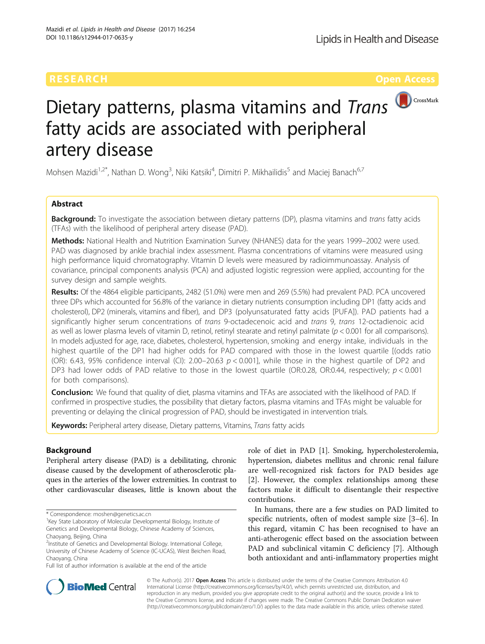

# Dietary patterns, plasma vitamins and Trans fatty acids are associated with peripheral artery disease

Mohsen Mazidi<sup>1,2\*</sup>, Nathan D. Wong<sup>3</sup>, Niki Katsiki<sup>4</sup>, Dimitri P. Mikhailidis<sup>5</sup> and Maciej Banach<sup>6,7</sup>

# Abstract

**Background:** To investigate the association between dietary patterns (DP), plasma vitamins and trans fatty acids (TFAs) with the likelihood of peripheral artery disease (PAD).

Methods: National Health and Nutrition Examination Survey (NHANES) data for the years 1999–2002 were used. PAD was diagnosed by ankle brachial index assessment. Plasma concentrations of vitamins were measured using high performance liquid chromatography. Vitamin D levels were measured by radioimmunoassay. Analysis of covariance, principal components analysis (PCA) and adjusted logistic regression were applied, accounting for the survey design and sample weights.

Results: Of the 4864 eligible participants, 2482 (51.0%) were men and 269 (5.5%) had prevalent PAD. PCA uncovered three DPs which accounted for 56.8% of the variance in dietary nutrients consumption including DP1 (fatty acids and cholesterol), DP2 (minerals, vitamins and fiber), and DP3 (polyunsaturated fatty acids [PUFA]). PAD patients had a significantly higher serum concentrations of trans 9-octadecenoic acid and trans 9, trans 12-octadienoic acid as well as lower plasma levels of vitamin D, retinol, retinyl stearate and retinyl palmitate ( $p < 0.001$  for all comparisons). In models adjusted for age, race, diabetes, cholesterol, hypertension, smoking and energy intake, individuals in the highest quartile of the DP1 had higher odds for PAD compared with those in the lowest quartile [(odds ratio (OR): 6.43, 95% confidence interval (CI): 2.00–20.63  $p < 0.001$ ], while those in the highest quartile of DP2 and DP3 had lower odds of PAD relative to those in the lowest quartile (OR:0.28, OR:0.44, respectively;  $p < 0.001$ for both comparisons).

Conclusion: We found that quality of diet, plasma vitamins and TFAs are associated with the likelihood of PAD. If confirmed in prospective studies, the possibility that dietary factors, plasma vitamins and TFAs might be valuable for preventing or delaying the clinical progression of PAD, should be investigated in intervention trials.

Keywords: Peripheral artery disease, Dietary patterns, Vitamins, Trans fatty acids

## Background

Peripheral artery disease (PAD) is a debilitating, chronic disease caused by the development of atherosclerotic plaques in the arteries of the lower extremities. In contrast to other cardiovascular diseases, little is known about the

Full list of author information is available at the end of the article

role of diet in PAD [[1\]](#page-5-0). Smoking, hypercholesterolemia, hypertension, diabetes mellitus and chronic renal failure are well-recognized risk factors for PAD besides age [[2\]](#page-5-0). However, the complex relationships among these factors make it difficult to disentangle their respective contributions.

In humans, there are a few studies on PAD limited to specific nutrients, often of modest sample size [\[3](#page-5-0)–[6\]](#page-5-0). In this regard, vitamin C has been recognised to have an anti-atherogenic effect based on the association between PAD and subclinical vitamin C deficiency [\[7\]](#page-5-0). Although both antioxidant and anti-inflammatory properties might



© The Author(s). 2017 **Open Access** This article is distributed under the terms of the Creative Commons Attribution 4.0 International License [\(http://creativecommons.org/licenses/by/4.0/](http://creativecommons.org/licenses/by/4.0/)), which permits unrestricted use, distribution, and reproduction in any medium, provided you give appropriate credit to the original author(s) and the source, provide a link to the Creative Commons license, and indicate if changes were made. The Creative Commons Public Domain Dedication waiver [\(http://creativecommons.org/publicdomain/zero/1.0/](http://creativecommons.org/publicdomain/zero/1.0/)) applies to the data made available in this article, unless otherwise stated.

<sup>\*</sup> Correspondence: [moshen@genetics.ac.cn](mailto:moshen@genetics.ac.cn) <sup>1</sup>

<sup>&</sup>lt;sup>1</sup> Key State Laboratory of Molecular Developmental Biology, Institute of Genetics and Developmental Biology, Chinese Academy of Sciences, Chaoyang, Beijing, China

<sup>&</sup>lt;sup>2</sup>Institute of Genetics and Developmental Biology. International College, University of Chinese Academy of Science (IC-UCAS), West Beichen Road, Chaoyang, China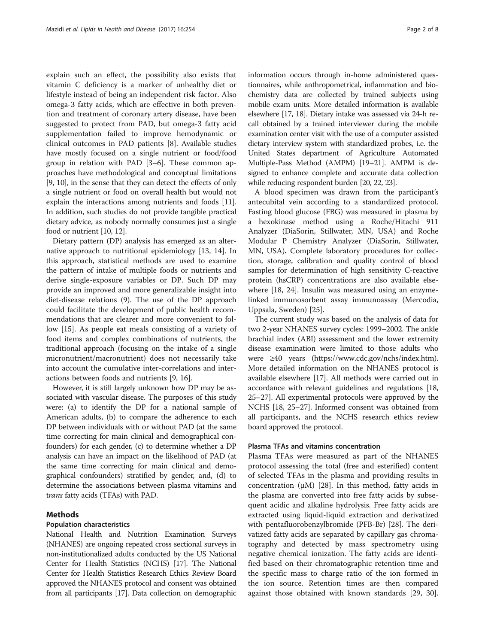explain such an effect, the possibility also exists that vitamin C deficiency is a marker of unhealthy diet or lifestyle instead of being an independent risk factor. Also omega-3 fatty acids, which are effective in both prevention and treatment of coronary artery disease, have been suggested to protect from PAD, but omega-3 fatty acid supplementation failed to improve hemodynamic or clinical outcomes in PAD patients [[8\]](#page-5-0). Available studies have mostly focused on a single nutrient or food/food group in relation with PAD [\[3](#page-5-0)–[6\]](#page-5-0). These common approaches have methodological and conceptual limitations [[9, 10](#page-6-0)], in the sense that they can detect the effects of only a single nutrient or food on overall health but would not explain the interactions among nutrients and foods [[11](#page-6-0)]. In addition, such studies do not provide tangible practical dietary advice, as nobody normally consumes just a single food or nutrient [[10](#page-6-0), [12\]](#page-6-0).

Dietary pattern (DP) analysis has emerged as an alternative approach to nutritional epidemiology [\[13, 14\]](#page-6-0). In this approach, statistical methods are used to examine the pattern of intake of multiple foods or nutrients and derive single-exposure variables or DP. Such DP may provide an improved and more generalizable insight into diet-disease relations (9). The use of the DP approach could facilitate the development of public health recommendations that are clearer and more convenient to follow [\[15](#page-6-0)]. As people eat meals consisting of a variety of food items and complex combinations of nutrients, the traditional approach (focusing on the intake of a single micronutrient/macronutrient) does not necessarily take into account the cumulative inter-correlations and interactions between foods and nutrients [\[9](#page-6-0), [16](#page-6-0)].

However, it is still largely unknown how DP may be associated with vascular disease. The purposes of this study were: (a) to identify the DP for a national sample of American adults, (b) to compare the adherence to each DP between individuals with or without PAD (at the same time correcting for main clinical and demographical confounders) for each gender, (c) to determine whether a DP analysis can have an impact on the likelihood of PAD (at the same time correcting for main clinical and demographical confounders) stratified by gender, and, (d) to determine the associations between plasma vitamins and trans fatty acids (TFAs) with PAD.

#### Methods

#### Population characteristics

National Health and Nutrition Examination Surveys (NHANES) are ongoing repeated cross sectional surveys in non-institutionalized adults conducted by the US National Center for Health Statistics (NCHS) [\[17\]](#page-6-0). The National Center for Health Statistics Research Ethics Review Board approved the NHANES protocol and consent was obtained from all participants [\[17\]](#page-6-0). Data collection on demographic

information occurs through in-home administered questionnaires, while anthropometrical, inflammation and biochemistry data are collected by trained subjects using mobile exam units. More detailed information is available elsewhere [\[17](#page-6-0), [18\]](#page-6-0). Dietary intake was assessed via 24-h recall obtained by a trained interviewer during the mobile examination center visit with the use of a computer assisted dietary interview system with standardized probes, i.e. the United States department of Agriculture Automated Multiple-Pass Method (AMPM) [\[19](#page-6-0)–[21\]](#page-6-0). AMPM is designed to enhance complete and accurate data collection while reducing respondent burden [\[20](#page-6-0), [22](#page-6-0), [23\]](#page-6-0).

A blood specimen was drawn from the participant's antecubital vein according to a standardized protocol. Fasting blood glucose (FBG) was measured in plasma by a hexokinase method using a Roche/Hitachi 911 Analyzer (DiaSorin, Stillwater, MN, USA) and Roche Modular P Chemistry Analyzer (DiaSorin, Stillwater, MN, USA). Complete laboratory procedures for collection, storage, calibration and quality control of blood samples for determination of high sensitivity C-reactive protein (hsCRP) concentrations are also available elsewhere [\[18](#page-6-0), [24\]](#page-6-0). Insulin was measured using an enzymelinked immunosorbent assay immunoassay (Mercodia, Uppsala, Sweden) [\[25](#page-6-0)].

The current study was based on the analysis of data for two 2-year NHANES survey cycles: 1999–2002. The ankle brachial index (ABI) assessment and the lower extremity disease examination were limited to those adults who were ≥40 years (<https://www.cdc.gov/nchs/index.htm>). More detailed information on the NHANES protocol is available elsewhere [[17\]](#page-6-0). All methods were carried out in accordance with relevant guidelines and regulations [[18](#page-6-0), [25](#page-6-0)–[27\]](#page-6-0). All experimental protocols were approved by the NCHS [[18](#page-6-0), [25](#page-6-0)–[27](#page-6-0)]. Informed consent was obtained from all participants, and the NCHS research ethics review board approved the protocol.

#### Plasma TFAs and vitamins concentration

Plasma TFAs were measured as part of the NHANES protocol assessing the total (free and esterified) content of selected TFAs in the plasma and providing results in concentration (μM) [\[28\]](#page-6-0). In this method, fatty acids in the plasma are converted into free fatty acids by subsequent acidic and alkaline hydrolysis. Free fatty acids are extracted using liquid-liquid extraction and derivatized with pentafluorobenzylbromide (PFB-Br) [\[28](#page-6-0)]. The derivatized fatty acids are separated by capillary gas chromatography and detected by mass spectrometry using negative chemical ionization. The fatty acids are identified based on their chromatographic retention time and the specific mass to charge ratio of the ion formed in the ion source. Retention times are then compared against those obtained with known standards [[29, 30](#page-6-0)].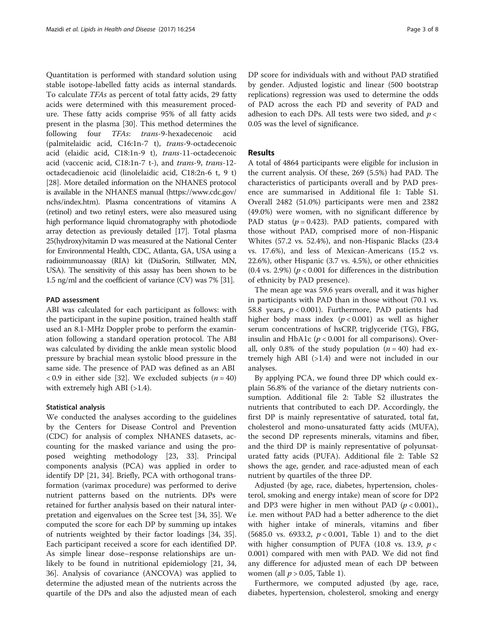Quantitation is performed with standard solution using stable isotope-labelled fatty acids as internal standards. To calculate TFAs as percent of total fatty acids, 29 fatty acids were determined with this measurement procedure. These fatty acids comprise 95% of all fatty acids present in the plasma [[30](#page-6-0)]. This method determines the following four TFAs: trans-9-hexadecenoic acid (palmitelaidic acid, C16:1n-7 t), trans-9-octadecenoic acid (elaidic acid, C18:1n-9 t), trans-11-octadecenoic acid (vaccenic acid, C18:1n-7 t-), and trans-9, trans-12 octadecadienoic acid (linolelaidic acid, C18:2n-6 t, 9 t) [[28\]](#page-6-0). More detailed information on the NHANES protocol is available in the NHANES manual [\(https://www.cdc.gov/](https://www.cdc.gov/nchs/index.htm) [nchs/index.htm\)](https://www.cdc.gov/nchs/index.htm). Plasma concentrations of vitamins A (retinol) and two retinyl esters, were also measured using high performance liquid chromatography with photodiode array detection as previously detailed [\[17](#page-6-0)]. Total plasma 25(hydroxy)vitamin D was measured at the National Center for Environmental Health, CDC, Atlanta, GA, USA using a radioimmunoassay (RIA) kit (DiaSorin, Stillwater, MN, USA). The sensitivity of this assay has been shown to be 1.5 ng/ml and the coefficient of variance (CV) was 7% [[31](#page-6-0)].

#### PAD assessment

ABI was calculated for each participant as follows: with the participant in the supine position, trained health staff used an 8.1-MHz Doppler probe to perform the examination following a standard operation protocol. The ABI was calculated by dividing the ankle mean systolic blood pressure by brachial mean systolic blood pressure in the same side. The presence of PAD was defined as an ABI < 0.9 in either side [[32\]](#page-6-0). We excluded subjects  $(n = 40)$ with extremely high ABI (>1.4).

#### Statistical analysis

We conducted the analyses according to the guidelines by the Centers for Disease Control and Prevention (CDC) for analysis of complex NHANES datasets, accounting for the masked variance and using the proposed weighting methodology [[23, 33\]](#page-6-0). Principal components analysis (PCA) was applied in order to identify DP [[21](#page-6-0), [34\]](#page-6-0). Briefly, PCA with orthogonal transformation (varimax procedure) was performed to derive nutrient patterns based on the nutrients. DPs were retained for further analysis based on their natural interpretation and eigenvalues on the Scree test [\[34](#page-6-0), [35](#page-6-0)]. We computed the score for each DP by summing up intakes of nutrients weighted by their factor loadings [[34, 35](#page-6-0)]. Each participant received a score for each identified DP. As simple linear dose–response relationships are unlikely to be found in nutritional epidemiology [[21, 34](#page-6-0), [36\]](#page-6-0). Analysis of covariance (ANCOVA) was applied to determine the adjusted mean of the nutrients across the quartile of the DPs and also the adjusted mean of each

DP score for individuals with and without PAD stratified by gender. Adjusted logistic and linear (500 bootstrap replications) regression was used to determine the odds of PAD across the each PD and severity of PAD and adhesion to each DPs. All tests were two sided, and  $p <$ 0.05 was the level of significance.

### Results

A total of 4864 participants were eligible for inclusion in the current analysis. Of these, 269 (5.5%) had PAD. The characteristics of participants overall and by PAD presence are summarised in Additional file [1](#page-5-0): Table S1. Overall 2482 (51.0%) participants were men and 2382 (49.0%) were women, with no significant difference by PAD status ( $p = 0.423$ ). PAD patients, compared with those without PAD, comprised more of non-Hispanic Whites (57.2 vs. 52.4%), and non-Hispanic Blacks (23.4 vs. 17.6%), and less of Mexican-Americans (15.2 vs. 22.6%), other Hispanic (3.7 vs. 4.5%), or other ethnicities (0.4 vs. 2.9%) ( $p < 0.001$  for differences in the distribution of ethnicity by PAD presence).

The mean age was 59.6 years overall, and it was higher in participants with PAD than in those without (70.1 vs. 58.8 years,  $p < 0.001$ ). Furthermore, PAD patients had higher body mass index  $(p < 0.001)$  as well as higher serum concentrations of hsCRP, triglyceride (TG), FBG, insulin and HbA1c ( $p < 0.001$  for all comparisons). Overall, only 0.8% of the study population  $(n = 40)$  had extremely high ABI (>1.4) and were not included in our analyses.

By applying PCA, we found three DP which could explain 56.8% of the variance of the dietary nutrients consumption. Additional file [2:](#page-5-0) Table S2 illustrates the nutrients that contributed to each DP. Accordingly, the first DP is mainly representative of saturated, total fat, cholesterol and mono-unsaturated fatty acids (MUFA), the second DP represents minerals, vitamins and fiber, and the third DP is mainly representative of polyunsaturated fatty acids (PUFA). Additional file [2:](#page-5-0) Table S2 shows the age, gender, and race-adjusted mean of each nutrient by quartiles of the three DP.

Adjusted (by age, race, diabetes, hypertension, cholesterol, smoking and energy intake) mean of score for DP2 and DP3 were higher in men without PAD  $(p < 0.001)$ . i.e. men without PAD had a better adherence to the diet with higher intake of minerals, vitamins and fiber (5685.0 vs. 6933.2,  $p < 0.001$ , Table [1\)](#page-3-0) and to the diet with higher consumption of PUFA (10.8 vs. 13.9,  $p <$ 0.001) compared with men with PAD. We did not find any difference for adjusted mean of each DP between women (all  $p > 0.05$ , Table [1\)](#page-3-0).

Furthermore, we computed adjusted (by age, race, diabetes, hypertension, cholesterol, smoking and energy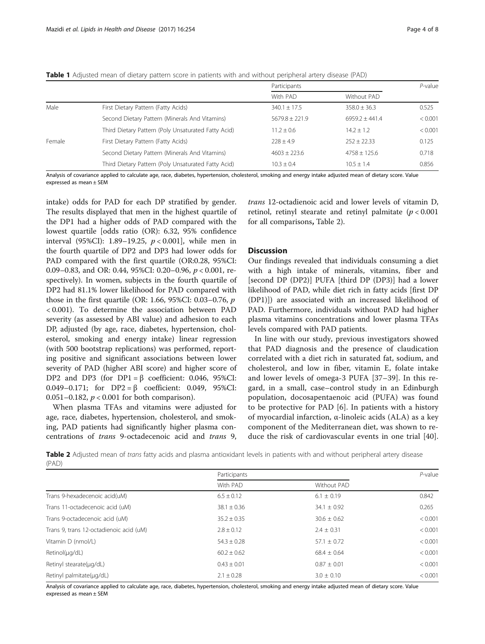<span id="page-3-0"></span>

|  |  |  |  | <b>Table 1</b> Adjusted mean of dietary pattern score in patients with and without peripheral artery disease (PAD) |  |  |
|--|--|--|--|--------------------------------------------------------------------------------------------------------------------|--|--|
|--|--|--|--|--------------------------------------------------------------------------------------------------------------------|--|--|

|        |                                                     | Participants       |                  | $P$ -value |
|--------|-----------------------------------------------------|--------------------|------------------|------------|
|        |                                                     | With PAD           | Without PAD      |            |
| Male   | First Dietary Pattern (Fatty Acids)                 | $340.1 + 17.5$     | $358.0 + 36.3$   | 0.525      |
|        | Second Dietary Pattern (Minerals And Vitamins)      | $5679.8 \pm 221.9$ | $6959.2 + 441.4$ | < 0.001    |
|        | Third Dietary Pattern (Poly Unsaturated Fatty Acid) | $11.2 \pm 0.6$     | $14.2 + 1.2$     | < 0.001    |
| Female | First Dietary Pattern (Fatty Acids)                 | $728 + 49$         | $252 + 22.33$    | 0.125      |
|        | Second Dietary Pattern (Minerals And Vitamins)      | $4603 + 2236$      | $4758 + 125.6$   | 0.718      |
|        | Third Dietary Pattern (Poly Unsaturated Fatty Acid) | $10.3 + 0.4$       | $10.5 + 1.4$     | 0.856      |

Analysis of covariance applied to calculate age, race, diabetes, hypertension, cholesterol, smoking and energy intake adjusted mean of dietary score. Value expressed as mean ± SEM

intake) odds for PAD for each DP stratified by gender. The results displayed that men in the highest quartile of the DP1 had a higher odds of PAD compared with the lowest quartile [odds ratio (OR): 6.32, 95% confidence interval (95%CI): 1.89-19.25,  $p < 0.001$ ], while men in the fourth quartile of DP2 and DP3 had lower odds for PAD compared with the first quartile (OR:0.28, 95%CI: 0.09–0.83, and OR: 0.44, 95%CI: 0.20–0.96, p < 0.001, respectively). In women, subjects in the fourth quartile of DP2 had 81.1% lower likelihood for PAD compared with those in the first quartile (OR: 1.66, 95%CI: 0.03–0.76, p < 0.001). To determine the association between PAD severity (as assessed by ABI value) and adhesion to each DP, adjusted (by age, race, diabetes, hypertension, cholesterol, smoking and energy intake) linear regression (with 500 bootstrap replications) was performed, reporting positive and significant associations between lower severity of PAD (higher ABI score) and higher score of DP2 and DP3 (for DP1 = β coefficient: 0.046, 95%CI: 0.049–0.171; for DP2 = β coefficient: 0.049, 95%CI: 0.051–0.182,  $p < 0.001$  for both comparison).

When plasma TFAs and vitamins were adjusted for age, race, diabetes, hypertension, cholesterol, and smoking, PAD patients had significantly higher plasma concentrations of trans 9-octadecenoic acid and trans 9,

trans 12-octadienoic acid and lower levels of vitamin D, retinol, retinyl stearate and retinyl palmitate ( $p < 0.001$ ) for all comparisons, Table 2).

#### **Discussion**

Our findings revealed that individuals consuming a diet with a high intake of minerals, vitamins, fiber and [second DP (DP2)] PUFA [third DP (DP3)] had a lower likelihood of PAD, while diet rich in fatty acids [first DP (DP1)]) are associated with an increased likelihood of PAD. Furthermore, individuals without PAD had higher plasma vitamins concentrations and lower plasma TFAs levels compared with PAD patients.

In line with our study, previous investigators showed that PAD diagnosis and the presence of claudication correlated with a diet rich in saturated fat, sodium, and cholesterol, and low in fiber, vitamin E, folate intake and lower levels of omega-3 PUFA [\[37](#page-6-0)–[39](#page-6-0)]. In this regard, in a small, case–control study in an Edinburgh population, docosapentaenoic acid (PUFA) was found to be protective for PAD [[6](#page-5-0)]. In patients with a history of myocardial infarction, α-linoleic acids (ALA) as a key component of the Mediterranean diet, was shown to reduce the risk of cardiovascular events in one trial [\[40](#page-6-0)].

Table 2 Adjusted mean of trans fatty acids and plasma antioxidant levels in patients with and without peripheral artery disease (PAD)

|                                         | Participants    |                 | $P$ -value |
|-----------------------------------------|-----------------|-----------------|------------|
|                                         | With PAD        | Without PAD     |            |
| Trans 9-hexadecenoic acid(uM)           | $6.5 \pm 0.12$  | $6.1 \pm 0.19$  | 0.842      |
| Trans 11-octadecenoic acid (uM)         | $38.1 \pm 0.36$ | $34.1 \pm 0.92$ | 0.265      |
| Trans 9-octadecenoic acid (uM)          | $35.2 \pm 0.35$ | $30.6 \pm 0.62$ | < 0.001    |
| Trans 9, trans 12-octadienoic acid (uM) | $2.8 \pm 0.12$  | $2.4 \pm 0.31$  | < 0.001    |
| Vitamin D (nmol/L)                      | $54.3 \pm 0.28$ | $57.1 \pm 0.72$ | < 0.001    |
| $Retinol(\mu q/dL)$                     | $60.2 + 0.62$   | $68.4 \pm 0.64$ | < 0.001    |
| Retinyl stearate(µg/dL)                 | $0.43 \pm 0.01$ | $0.87 \pm 0.01$ | < 0.001    |
| Retinyl palmitate(µg/dL)                | $2.1 \pm 0.28$  | $3.0 \pm 0.10$  | < 0.001    |

Analysis of covariance applied to calculate age, race, diabetes, hypertension, cholesterol, smoking and energy intake adjusted mean of dietary score. Value expressed as mean ± SEM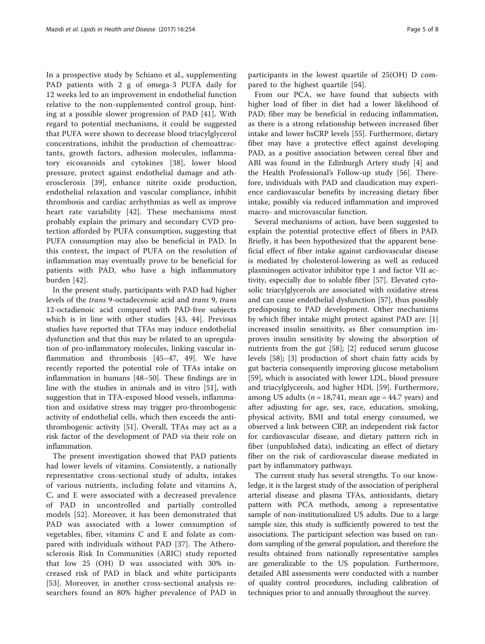In a prospective study by Schiano et al., supplementing PAD patients with 2 g of omega-3 PUFA daily for 12 weeks led to an improvement in endothelial function relative to the non-supplemented control group, hinting at a possible slower progression of PAD [[41\]](#page-6-0). With regard to potential mechanisms, it could be suggested that PUFA were shown to decrease blood triacylglycerol concentrations, inhibit the production of chemoattractants, growth factors, adhesion molecules, inflammatory eicosanoids and cytokines [[38\]](#page-6-0), lower blood pressure, protect against endothelial damage and atherosclerosis [\[39](#page-6-0)], enhance nitrite oxide production, endothelial relaxation and vascular compliance, inhibit thrombosis and cardiac arrhythmias as well as improve heart rate variability [\[42](#page-6-0)]. These mechanisms most probably explain the primary and secondary CVD protection afforded by PUFA consumption, suggesting that PUFA consumption may also be beneficial in PAD. In this context, the impact of PUFA on the resolution of inflammation may eventually prove to be beneficial for patients with PAD, who have a high inflammatory burden [[42\]](#page-6-0).

In the present study, participants with PAD had higher levels of the trans 9-octadecenoic acid and trans 9, trans 12-octadienoic acid compared with PAD-free subjects which is in line with other studies [[43, 44](#page-6-0)]. Previous studies have reported that TFAs may induce endothelial dysfunction and that this may be related to an upregulation of pro-inflammatory molecules, linking vascular inflammation and thrombosis [\[45](#page-6-0)–[47, 49\]](#page-6-0). We have recently reported the potential role of TFAs intake on inflammation in humans [[48](#page-6-0)–[50](#page-6-0)]. These findings are in line with the studies in animals and in vitro [\[51](#page-6-0)], with suggestion that in TFA-exposed blood vessels, inflammation and oxidative stress may trigger pro-thrombogenic activity of endothelial cells, which then exceeds the antithrombogenic activity [[51\]](#page-6-0). Overall, TFAs may act as a risk factor of the development of PAD via their role on inflammation.

The present investigation showed that PAD patients had lower levels of vitamins. Consistently, a nationally representative cross-sectional study of adults, intakes of various nutrients, including folate and vitamins A, C, and E were associated with a decreased prevalence of PAD in uncontrolled and partially controlled models [[52](#page-6-0)]. Moreover, it has been demonstrated that PAD was associated with a lower consumption of vegetables, fiber, vitamins C and E and folate as compared with individuals without PAD [[37\]](#page-6-0). The Atherosclerosis Risk In Communities (ARIC) study reported that low 25 (OH) D was associated with 30% increased risk of PAD in black and white participants [[53\]](#page-6-0). Moreover, in another cross-sectional analysis researchers found an 80% higher prevalence of PAD in

participants in the lowest quartile of 25(OH) D compared to the highest quartile [\[54](#page-6-0)].

From our PCA, we have found that subjects with higher load of fiber in diet had a lower likelihood of PAD; fiber may be beneficial in reducing inflammation, as there is a strong relationship between increased fiber intake and lower hsCRP levels [\[55](#page-6-0)]. Furthermore, dietary fiber may have a protective effect against developing PAD, as a positive association between cereal fiber and ABI was found in the Edinburgh Artery study [[4\]](#page-5-0) and the Health Professional's Follow-up study [[56](#page-7-0)]. Therefore, individuals with PAD and claudication may experience cardiovascular benefits by increasing dietary fiber intake, possibly via reduced inflammation and improved macro- and microvascular function.

Several mechanisms of action, have been suggested to explain the potential protective effect of fibers in PAD. Briefly, it has been hypothesized that the apparent beneficial effect of fiber intake against cardiovascular disease is mediated by cholesterol-lowering as well as reduced plasminogen activator inhibitor type 1 and factor VII activity, especially due to soluble fiber [\[57](#page-7-0)]. Elevated cytosolic triacylglycerols are associated with oxidative stress and can cause endothelial dysfunction [\[57](#page-7-0)], thus possibly predisposing to PAD development. Other mechanisms by which fiber intake might protect against PAD are: [\[1](#page-5-0)] increased insulin sensitivity, as fiber consumption improves insulin sensitivity by slowing the absorption of nutrients from the gut [\[58](#page-7-0)]; [[2\]](#page-5-0) reduced serum glucose levels [\[58](#page-7-0)]; [[3\]](#page-5-0) production of short chain fatty acids by gut bacteria consequently improving glucose metabolism [[59\]](#page-7-0), which is associated with lower LDL, blood pressure and triacylglycerols, and higher HDL [[59](#page-7-0)]. Furthermore, among US adults ( $n = 18,741$ , mean age = 44.7 years) and after adjusting for age, sex, race, education, smoking, physical activity, BMI and total energy consumed, we observed a link between CRP, an independent risk factor for cardiovascular disease, and dietary pattern rich in fiber (unpublished data), indicating an effect of dietary fiber on the risk of cardiovascular disease mediated in part by inflammatory pathways.

The current study has several strengths. To our knowledge, it is the largest study of the association of peripheral arterial disease and plasma TFAs, antioxidants, dietary pattern with PCA methods, among a representative sample of non-institutionalized US adults. Due to a large sample size, this study is sufficiently powered to test the associations. The participant selection was based on random sampling of the general population, and therefore the results obtained from nationally representative samples are generalizable to the US population. Furthermore, detailed ABI assessments were conducted with a number of quality control procedures, including calibration of techniques prior to and annually throughout the survey.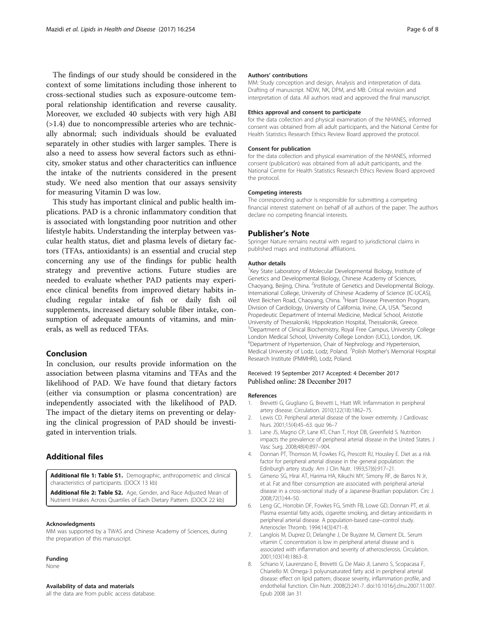<span id="page-5-0"></span>The findings of our study should be considered in the context of some limitations including those inherent to cross-sectional studies such as exposure-outcome temporal relationship identification and reverse causality. Moreover, we excluded 40 subjects with very high ABI (>1.4) due to noncompressible arteries who are technically abnormal; such individuals should be evaluated separately in other studies with larger samples. There is also a need to assess how several factors such as ethnicity, smoker status and other characteritics can influence the intake of the nutrients considered in the present study. We need also mention that our assays sensivity for measuring Vitamin D was low.

This study has important clinical and public health implications. PAD is a chronic inflammatory condition that is associated with longstanding poor nutrition and other lifestyle habits. Understanding the interplay between vascular health status, diet and plasma levels of dietary factors (TFAs, antioxidants) is an essential and crucial step concerning any use of the findings for public health strategy and preventive actions. Future studies are needed to evaluate whether PAD patients may experience clinical benefits from improved dietary habits including regular intake of fish or daily fish oil supplements, increased dietary soluble fiber intake, consumption of adequate amounts of vitamins, and minerals, as well as reduced TFAs.

#### Conclusion

In conclusion, our results provide information on the association between plasma vitamins and TFAs and the likelihood of PAD. We have found that dietary factors (either via consumption or plasma concentration) are independently associated with the likelihood of PAD. The impact of the dietary items on preventing or delaying the clinical progression of PAD should be investigated in intervention trials.

### Additional files

[Additional file 1: Table S1.](dx.doi.org/10.1186/s12944-017-0635-y) Demographic, anthropometric and clinical characteristics of participants. (DOCX 13 kb)

[Additional file 2: Table S2.](dx.doi.org/10.1186/s12944-017-0635-y) Age, Gender, and Race Adjusted Mean of Nutrient Intakes Across Quartiles of Each Dietary Pattern. (DOCX 22 kb)

#### Acknowledgments

MM was supported by a TWAS and Chinese Academy of Sciences, during the preparation of this manuscript.

#### Funding

None

#### Availability of data and materials

all the data are from public access database.

#### Authors' contributions

MM: Study conception and design, Analysis and interpretation of data. Drafting of manuscript. NDW, NK, DPM, and MB: Critical revision and interpretation of data. All authors read and approved the final manuscript.

#### Ethics approval and consent to participate

for the data collection and physical examination of the NHANES, informed consent was obtained from all adult participants, and the National Centre for Health Statistics Research Ethics Review Board approved the protocol.

#### Consent for publication

for the data collection and physical examination of the NHANES, informed consent (publication) was obtained from all adult participants, and the National Centre for Health Statistics Research Ethics Review Board approved the protocol.

#### Competing interests

The corresponding author is responsible for submitting a competing financial interest statement on behalf of all authors of the paper. The authors declare no competing financial interests.

#### Publisher's Note

Springer Nature remains neutral with regard to jurisdictional claims in published maps and institutional affiliations.

#### Author details

<sup>1</sup>Key State Laboratory of Molecular Developmental Biology, Institute of Genetics and Developmental Biology, Chinese Academy of Sciences, Chaoyang, Beijing, China. <sup>2</sup>Institute of Genetics and Developmental Biology. International College, University of Chinese Academy of Science (IC-UCAS), West Beichen Road, Chaoyang, China. <sup>3</sup>Heart Disease Prevention Program, Division of Cardiology, University of California, Irvine, CA, USA. <sup>4</sup>Second Propedeutic Department of Internal Medicine, Medical School, Aristotle University of Thessaloniki, Hippokration Hospital, Thessaloniki, Greece. 5 Department of Clinical Biochemistry, Royal Free Campus, University College London Medical School, University College London (UCL), London, UK. 6 Department of Hypertension, Chair of Nephrology and Hypertension, Medical University of Lodz, Lodz, Poland. <sup>7</sup>Polish Mother's Memorial Hospital Research Institute (PMMHRI), Lodz, Poland.

#### Received: 19 September 2017 Accepted: 4 December 2017 Published online: 28 December 2017

#### References

- 1. Brevetti G, Giugliano G, Brevetti L, Hiatt WR. Inflammation in peripheral artery disease. Circulation. 2010;122(18):1862–75.
- 2. Lewis CD. Peripheral arterial disease of the lower extremity. J Cardiovasc Nurs. 2001;15(4):45–63. quiz 96–7
- 3. Lane JS, Magno CP, Lane KT, Chan T, Hoyt DB, Greenfield S. Nutrition impacts the prevalence of peripheral arterial disease in the United States. J Vasc Surg. 2008;48(4):897–904.
- 4. Donnan PT, Thomson M, Fowkes FG, Prescott RJ, Housley E. Diet as a risk factor for peripheral arterial disease in the general population: the Edinburgh artery study. Am J Clin Nutr. 1993;57(6):917–21.
- 5. Gimeno SG, Hirai AT, Harima HA, Kikuchi MY, Simony RF, de Barros N Jr, et al. Fat and fiber consumption are associated with peripheral arterial disease in a cross-sectional study of a Japanese-Brazilian population. Circ J. 2008;72(1):44–50.
- 6. Leng GC, Horrobin DF, Fowkes FG, Smith FB, Lowe GD, Donnan PT, et al. Plasma essential fatty acids, cigarette smoking, and dietary antioxidants in peripheral arterial disease. A population-based case–control study. Arterioscler Thromb. 1994;14(3):471–8.
- 7. Langlois M, Duprez D, Delanghe J, De Buyzere M, Clement DL. Serum vitamin C concentration is low in peripheral arterial disease and is associated with inflammation and severity of atherosclerosis. Circulation. 2001;103(14):1863–8.
- 8. Schiano V, Laurenzano E, Brevetti G, De Maio JI, Lanero S, Scopacasa F, Chiariello M. Omega-3 polyunsaturated fatty acid in peripheral arterial disease: effect on lipid pattern, disease severity, inflammation profile, and endothelial function. Clin Nutr. 2008(2):241-7. doi:[10.1016/j.clnu.2007.11.007.](http://dx.doi.org/10.1016/j.clnu.2007.11.007) Epub 2008 Jan 31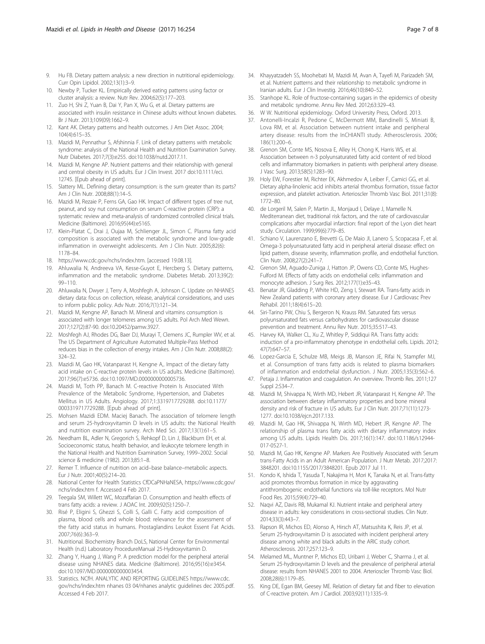- <span id="page-6-0"></span>9. Hu FB. Dietary pattern analysis: a new direction in nutritional epidemiology. Curr Opin Lipidol. 2002;13(1):3–9.
- 10. Newby P, Tucker KL. Empirically derived eating patterns using factor or cluster analysis: a review. Nutr Rev. 2004;62(5):177–203.
- 11. Zuo H, Shi Z, Yuan B, Dai Y, Pan X, Wu G, et al. Dietary patterns are associated with insulin resistance in Chinese adults without known diabetes. Br J Nutr. 2013;109(09):1662–9.
- 12. Kant AK. Dietary patterns and health outcomes. J Am Diet Assoc. 2004; 104(4):615–35.
- 13. Mazidi M, Pennathur S, Afshinnia F. Link of dietary patterns with metabolic syndrome: analysis of the National Health and Nutrition Examination Survey. Nutr Diabetes. 2017;7(3):e255. doi[:10.1038/nutd.2017.11.](http://dx.doi.org/10.1038/nutd.2017.11)
- 14. Mazidi M, Kengne AP. Nutrient patterns and their relationship with general and central obesity in US adults. Eur J Clin Invest. 2017 doi:[10.1111/eci.](http://dx.doi.org/10.1111/eci.12745) [12745.](http://dx.doi.org/10.1111/eci.12745) [Epub ahead of print].
- 15. Slattery ML. Defining dietary consumption: is the sum greater than its parts? Am J Clin Nutr. 2008;88(1):14–5.
- 16. Mazidi M, Rezaie P, Ferns GA, Gao HK. Impact of different types of tree nut, peanut, and soy nut consumption on serum C-reactive protein (CRP): a systematic review and meta-analysis of randomized controlled clinical trials. Medicine (Baltimore). 2016;95(44):e5165.
- 17. Klein-Platat C, Drai J, Oujaa M, Schlienger JL, Simon C. Plasma fatty acid composition is associated with the metabolic syndrome and low-grade inflammation in overweight adolescents. Am J Clin Nutr. 2005;82(6): 1178–84.
- 18. [https://www.cdc.gov/nchs/index.htm.](https://www.cdc.gov/nchs/index.htm) [accessed 19.08.13].
- 19. Ahluwalia N, Andreeva VA, Kesse-Guyot E, Hercberg S. Dietary patterns, inflammation and the metabolic syndrome. Diabetes Metab. 2013;39(2): 99–110.
- 20. Ahluwalia N, Dwyer J, Terry A, Moshfegh A, Johnson C. Update on NHANES dietary data: focus on collection, release, analytical considerations, and uses to inform public policy. Adv Nutr. 2016;7(1):121–34.
- 21. Mazidi M, Kengne AP, Banach M. Mineral and vitamins consumption is associated with longer telomeres among US adults. Pol Arch Med Wewn. 2017;127(2):87-90. doi[:10.20452/pamw.3927.](http://dx.doi.org/10.20452/pamw.3927)
- 22. Moshfegh AJ, Rhodes DG, Baer DJ, Murayi T, Clemens JC, Rumpler WV, et al. The US Department of Agriculture Automated Multiple-Pass Method reduces bias in the collection of energy intakes. Am J Clin Nutr. 2008;88(2): 324–32.
- 23. Mazidi M, Gao HK, Vatanparast H, Kengne A,. Impact of the dietary fatty acid intake on C-reactive protein levels in US adults. Medicine (Baltimore). 2017;96(7):e5736. doi[:10.1097/MD.0000000000005736.](http://dx.doi.org/10.1097/MD.0000000000005736)
- 24. Mazidi M, Toth PP, Banach M. C-reactive Protein Is Associated With Prevalence of the Metabolic Syndrome, Hypertension, and Diabetes Mellitus in US Adults. Angiology. 2017;1:3319717729288. doi[:10.1177/](http://dx.doi.org/10.1177/0003319717729288) [0003319717729288.](http://dx.doi.org/10.1177/0003319717729288) [Epub ahead of print].
- 25. Mohsen Mazidi EDM. Maciej Banach. The association of telomere length and serum 25-hydroxyvitamin D levels in US adults: the National Health and nutrition examination survey. Arch Med Sci. 2017;13(1):61–5.
- 26. Needham BL, Adler N, Gregorich S, Rehkopf D, Lin J, Blackburn EH, et al. Socioeconomic status, health behavior, and leukocyte telomere length in the National Health and Nutrition Examination Survey, 1999–2002. Social science & medicine (1982). 2013;85:1–8.
- 27. Remer T. Influence of nutrition on acid–base balance–metabolic aspects. Eur J Nutr. 2001;40(5):214–20.
- 28. National Center for Health Statistics CfDCaPNHaNESA, [https://www.cdc.gov/](https://www.cdc.gov/nchs/index.htm) [nchs/index.htm](https://www.cdc.gov/nchs/index.htm) f. Accessed 4 Feb 2017.
- 29. Teegala SM, Willett WC, Mozaffarian D. Consumption and health effects of trans fatty acids: a review. J AOAC Int. 2009;92(5):1250–7.
- 30. Risé P, Eligini S, Ghezzi S, Colli S, Galli C. Fatty acid composition of plasma, blood cells and whole blood: relevance for the assessment of the fatty acid status in humans. Prostaglandins Leukot Essent Fat Acids. 2007;76(6):363–9.
- 31. Nutritional. Biochemistry Branch DoLS, National Center for Environmental Health (n.d.) Laboratory ProcedureManual 25-Hydroxyvitamin D.
- 32. Zhang Y, Huang J, Wang P. A prediction model for the peripheral arterial disease using NHANES data. Medicine (Baltimore). 2016;95(16):e3454. doi[:10.1097/MD.0000000000003454.](http://dx.doi.org/10.1097/MD.0000000000003454)
- 33. Statistics. NCfH. ANALYTIC AND REPORTING GUIDELINES [https://www.cdc.](https://www.cdc.gov/nchs/index.htm) [gov/nchs/index.htm](https://www.cdc.gov/nchs/index.htm) nhanes 03 04/nhanes analytic guidelines dec 2005.pdf. Accessed 4 Feb 2017.
- 34. Khayyatzadeh SS, Moohebati M, Mazidi M, Avan A, Tayefi M, Parizadeh SM, et al. Nutrient patterns and their relationship to metabolic syndrome in Iranian adults. Eur J Clin Investig. 2016;46(10):840–52.
- 35. Stanhope KL. Role of fructose-containing sugars in the epidemics of obesity and metabolic syndrome. Annu Rev Med. 2012;63:329–43.
- 36. W W. Nutritional epidemiology. Oxford University Press, Oxford. 2013.
- 37. Antonelli-Incalzi R, Pedone C, McDermott MM, Bandinelli S, Miniati B, Lova RM, et al. Association between nutrient intake and peripheral artery disease: results from the InCHIANTI study. Atherosclerosis. 2006; 186(1):200–6.
- 38. Grenon SM, Conte MS, Nosova E, Alley H, Chong K, Harris WS, et al. Association between n-3 polyunsaturated fatty acid content of red blood cells and inflammatory biomarkers in patients with peripheral artery disease. J Vasc Surg. 2013;58(5):1283–90.
- 39. Holy EW, Forestier M, Richter EK, Akhmedov A, Leiber F, Camici GG, et al. Dietary alpha-linolenic acid inhibits arterial thrombus formation, tissue factor expression, and platelet activation. Arterioscler Thromb Vasc Biol. 2011;31(8): 1772–80.
- 40. de Lorgeril M, Salen P, Martin JL, Monjaud I, Delaye J, Mamelle N. Mediterranean diet, traditional risk factors, and the rate of cardiovascular complications after myocardial infarction: final report of the Lyon diet heart study. Circulation. 1999;99(6):779–85.
- 41. Schiano V, Laurenzano E, Brevetti G, De Maio JI, Lanero S, Scopacasa F, et al. Omega-3 polyunsaturated fatty acid in peripheral arterial disease: effect on lipid pattern, disease severity, inflammation profile, and endothelial function. Clin Nutr. 2008;27(2):241–7.
- 42. Grenon SM, Aguado-Zuniga J, Hatton JP, Owens CD, Conte MS, Hughes-Fulford M. Effects of fatty acids on endothelial cells: inflammation and monocyte adhesion. J Surg Res. 2012;177(1):e35–43.
- 43. Benatar JR, Gladding P, White HD, Zeng I, Stewart RA. Trans-fatty acids in New Zealand patients with coronary artery disease. Eur J Cardiovasc Prev Rehabil. 2011;18(4):615–20.
- 44. Siri-Tarino PW, Chiu S, Bergeron N, Krauss RM. Saturated fats versus polyunsaturated fats versus carbohydrates for cardiovascular disease prevention and treatment. Annu Rev Nutr. 2015;35:517–43.
- 45. Harvey KA, Walker CL, Xu Z, Whitley P, Siddiqui RA. Trans fatty acids: induction of a pro-inflammatory phenotype in endothelial cells. Lipids. 2012; 47(7):647–57.
- 46. Lopez-Garcia E, Schulze MB, Meigs JB, Manson JE, Rifai N, Stampfer MJ, et al. Consumption of trans fatty acids is related to plasma biomarkers of inflammation and endothelial dysfunction. J Nutr. 2005;135(3):562–6.
- 47. Petaja J. Inflammation and coagulation. An overview. Thromb Res. 2011;127 Suppl 2:S34–7.
- 48. Mazidi M, Shivappa N, Wirth MD, Hebert JR, Vatanparast H, Kengne AP. The association between dietary inflammatory properties and bone mineral density and risk of fracture in US adults. Eur J Clin Nutr. 2017;71(11):1273- 1277. doi[:10.1038/ejcn.2017.133](http://dx.doi.org/10.1038/ejcn.2017.133).
- 49. Mazidi M, Gao HK, Shivappa N, Wirth MD, Hebert JR, Kengne AP. The relationship of plasma trans fatty acids with dietary inflammatory index among US adults. Lipids Health Dis. 2017;16(1):147. doi:[10.1186/s12944-](http://dx.doi.org/10.1186/s12944-017-0527-1) [017-0527-1](http://dx.doi.org/10.1186/s12944-017-0527-1).
- 50. Mazidi M, Gao HK, Kengne AP. Markers Are Positively Associated with Serum trans-Fatty Acids in an Adult American Population. J Nutr Metab. 2017;2017: 3848201. doi[:10.1155/2017/3848201](http://dx.doi.org/10.1155/2017/3848201). Epub 2017 Jul 11.
- 51. Kondo K, Ishida T, Yasuda T, Nakajima H, Mori K, Tanaka N, et al. Trans-fatty acid promotes thrombus formation in mice by aggravating antithrombogenic endothelial functions via toll-like receptors. Mol Nutr Food Res. 2015;59(4):729–40.
- 52. Naqvi AZ, Davis RB, Mukamal KJ. Nutrient intake and peripheral artery disease in adults: key considerations in cross-sectional studies. Clin Nutr. 2014;33(3):443–7.
- 53. Rapson IR, Michos ED, Alonso A, Hirsch AT, Matsushita K, Reis JP, et al. Serum 25-hydroxyvitamin D is associated with incident peripheral artery disease among white and black adults in the ARIC study cohort. Atherosclerosis. 2017;257:123–9.
- 54. Melamed ML, Muntner P, Michos ED, Uribarri J, Weber C, Sharma J, et al. Serum 25-hydroxyvitamin D levels and the prevalence of peripheral arterial disease: results from NHANES 2001 to 2004. Arterioscler Thromb Vasc Biol. 2008;28(6):1179–85.
- 55. King DE, Egan BM, Geesey ME. Relation of dietary fat and fiber to elevation of C-reactive protein. Am J Cardiol. 2003;92(11):1335–9.